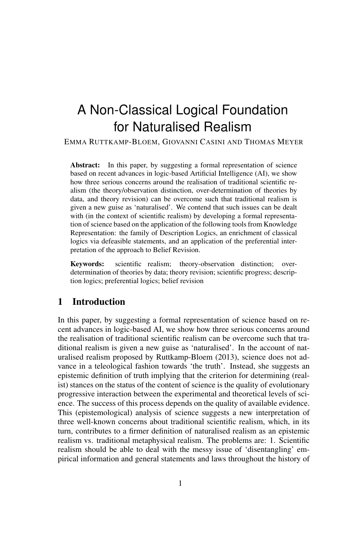# A Non-Classical Logical Foundation for Naturalised Realism

EMMA RUTTKAMP-BLOEM, GIOVANNI CASINI AND THOMAS MEYER

Abstract: In this paper, by suggesting a formal representation of science based on recent advances in logic-based Artificial Intelligence (AI), we show how three serious concerns around the realisation of traditional scientific realism (the theory/observation distinction, over-determination of theories by data, and theory revision) can be overcome such that traditional realism is given a new guise as 'naturalised'. We contend that such issues can be dealt with (in the context of scientific realism) by developing a formal representation of science based on the application of the following tools from Knowledge Representation: the family of Description Logics, an enrichment of classical logics via defeasible statements, and an application of the preferential interpretation of the approach to Belief Revision.

Keywords: scientific realism; theory-observation distinction; overdetermination of theories by data; theory revision; scientific progress; description logics; preferential logics; belief revision

# 1 Introduction

In this paper, by suggesting a formal representation of science based on recent advances in logic-based AI, we show how three serious concerns around the realisation of traditional scientific realism can be overcome such that traditional realism is given a new guise as 'naturalised'. In the account of naturalised realism proposed by Ruttkamp-Bloem (2013), science does not advance in a teleological fashion towards 'the truth'. Instead, she suggests an epistemic definition of truth implying that the criterion for determining (realist) stances on the status of the content of science is the quality of evolutionary progressive interaction between the experimental and theoretical levels of science. The success of this process depends on the quality of available evidence. This (epistemological) analysis of science suggests a new interpretation of three well-known concerns about traditional scientific realism, which, in its turn, contributes to a firmer definition of naturalised realism as an epistemic realism vs. traditional metaphysical realism. The problems are: 1. Scientific realism should be able to deal with the messy issue of 'disentangling' empirical information and general statements and laws throughout the history of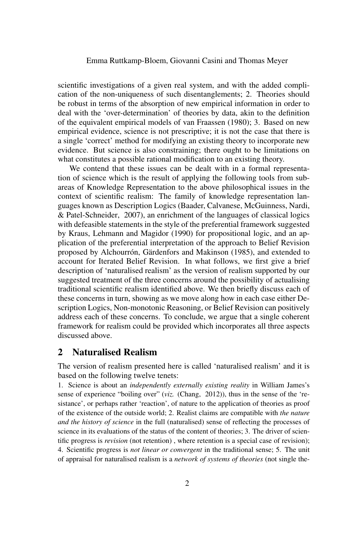scientific investigations of a given real system, and with the added complication of the non-uniqueness of such disentanglements; 2. Theories should be robust in terms of the absorption of new empirical information in order to deal with the 'over-determination' of theories by data, akin to the definition of the equivalent empirical models of van Fraassen (1980); 3. Based on new empirical evidence, science is not prescriptive; it is not the case that there is a single 'correct' method for modifying an existing theory to incorporate new evidence. But science is also constraining; there ought to be limitations on what constitutes a possible rational modification to an existing theory.

We contend that these issues can be dealt with in a formal representation of science which is the result of applying the following tools from subareas of Knowledge Representation to the above philosophical issues in the context of scientific realism: The family of knowledge representation languages known as Description Logics (Baader, Calvanese, McGuinness, Nardi, & Patel-Schneider, 2007), an enrichment of the languages of classical logics with defeasible statements in the style of the preferential framework suggested by Kraus, Lehmann and Magidor (1990) for propositional logic, and an application of the preferential interpretation of the approach to Belief Revision proposed by Alchourrón, Gärdenfors and Makinson (1985), and extended to account for Iterated Belief Revision. In what follows, we first give a brief description of 'naturalised realism' as the version of realism supported by our suggested treatment of the three concerns around the possibility of actualising traditional scientific realism identified above. We then briefly discuss each of these concerns in turn, showing as we move along how in each case either Description Logics, Non-monotonic Reasoning, or Belief Revision can positively address each of these concerns. To conclude, we argue that a single coherent framework for realism could be provided which incorporates all three aspects discussed above.

# 2 Naturalised Realism

The version of realism presented here is called 'naturalised realism' and it is based on the following twelve tenets:

1. Science is about an *independently externally existing reality* in William James's sense of experience "boiling over" (*viz.* (Chang, 2012)), thus in the sense of the 'resistance', or perhaps rather 'reaction', of nature to the application of theories as proof of the existence of the outside world; 2. Realist claims are compatible with *the nature and the history of science* in the full (naturalised) sense of reflecting the processes of science in its evaluations of the status of the content of theories; 3. The driver of scientific progress is *revision* (not retention) , where retention is a special case of revision); 4. Scientific progress is *not linear or convergent* in the traditional sense; 5. The unit of appraisal for naturalised realism is a *network of systems of theories* (not single the-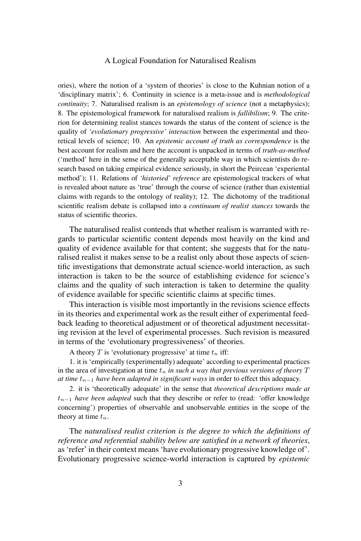ories), where the notion of a 'system of theories' is close to the Kuhnian notion of a 'disciplinary matrix'; 6. Continuity in science is a meta-issue and is *methodological continuity*; 7. Naturalised realism is an *epistemology of science* (not a metaphysics); 8. The epistemological framework for naturalised realism is *fallibilism*; 9. The criterion for determining realist stances towards the status of the content of science is the quality of *'evolutionary progressive' interaction* between the experimental and theoretical levels of science; 10. An *epistemic account of truth as correspondence* is the best account for realism and here the account is unpacked in terms of *truth-as-method* ('method' here in the sense of the generally acceptable way in which scientists do research based on taking empirical evidence seriously, in short the Peircean 'experiental method'); 11. Relations of *'historied' reference* are epistemological trackers of what is revealed about nature as 'true' through the course of science (rather than existential claims with regards to the ontology of reality); 12. The dichotomy of the traditional scientific realism debate is collapsed into a *continuum of realist stances* towards the status of scientific theories.

The naturalised realist contends that whether realism is warranted with regards to particular scientific content depends most heavily on the kind and quality of evidence available for that content; she suggests that for the naturalised realist it makes sense to be a realist only about those aspects of scientific investigations that demonstrate actual science-world interaction, as such interaction is taken to be the source of establishing evidence for science's claims and the quality of such interaction is taken to determine the quality of evidence available for specific scientific claims at specific times.

This interaction is visible most importantly in the revisions science effects in its theories and experimental work as the result either of experimental feedback leading to theoretical adjustment or of theoretical adjustment necessitating revision at the level of experimental processes. Such revision is measured in terms of the 'evolutionary progressiveness' of theories.

A theory T is 'evolutionary progressive' at time  $t_n$  iff:

1. it is 'empirically (experimentally) adequate' according to experimental practices in the area of investigation at time  $t_n$  *in such a way that previous versions of theory*  $T$ *at time*  $t_{n-1}$  *have been adapted in significant ways* in order to effect this adequacy.

2. it is 'theoretically adequate' in the sense that *theoretical descriptions made at* tn−<sup>1</sup> *have been adapted* such that they describe or refer to (read: 'offer knowledge concerning') properties of observable and unobservable entities in the scope of the theory at time  $t_n$ .

The *naturalised realist criterion is the degree to which the definitions of reference and referential stability below are satisfied in a network of theories*, as 'refer' in their context means 'have evolutionary progressive knowledge of'. Evolutionary progressive science-world interaction is captured by *epistemic*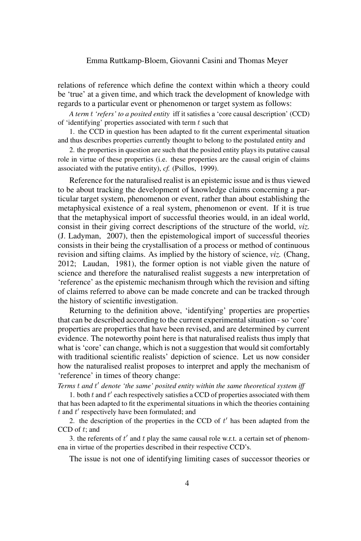relations of reference which define the context within which a theory could be 'true' at a given time, and which track the development of knowledge with regards to a particular event or phenomenon or target system as follows:

*A term* t *'refers' to a posited entity* iff it satisfies a 'core causal description' (CCD) of 'identifying' properties associated with term  $t$  such that

1. the CCD in question has been adapted to fit the current experimental situation and thus describes properties currently thought to belong to the postulated entity and

2. the properties in question are such that the posited entity plays its putative causal role in virtue of these properties (i.e. these properties are the causal origin of claims associated with the putative entity), *cf.* (Psillos, 1999).

Reference for the naturalised realist is an epistemic issue and is thus viewed to be about tracking the development of knowledge claims concerning a particular target system, phenomenon or event, rather than about establishing the metaphysical existence of a real system, phenomenon or event. If it is true that the metaphysical import of successful theories would, in an ideal world, consist in their giving correct descriptions of the structure of the world, *viz.* (J. Ladyman, 2007), then the epistemological import of successful theories consists in their being the crystallisation of a process or method of continuous revision and sifting claims. As implied by the history of science, *viz.* (Chang, 2012; Laudan, 1981), the former option is not viable given the nature of science and therefore the naturalised realist suggests a new interpretation of 'reference' as the epistemic mechanism through which the revision and sifting of claims referred to above can be made concrete and can be tracked through the history of scientific investigation.

Returning to the definition above, 'identifying' properties are properties that can be described according to the current experimental situation - so 'core' properties are properties that have been revised, and are determined by current evidence. The noteworthy point here is that naturalised realists thus imply that what is 'core' can change, which is not a suggestion that would sit comfortably with traditional scientific realists' depiction of science. Let us now consider how the naturalised realist proposes to interpret and apply the mechanism of 'reference' in times of theory change:

Terms t and t' denote 'the same' posited entity within the same theoretical system iff

1. both  $t$  and  $t'$  each respectively satisfies a CCD of properties associated with them that has been adapted to fit the experimental situations in which the theories containing  $t$  and  $t'$  respectively have been formulated; and

2. the description of the properties in the CCD of  $t'$  has been adapted from the  $CCD$  of  $t$ ; and

3. the referents of  $t'$  and  $t$  play the same causal role w.r.t. a certain set of phenomena in virtue of the properties described in their respective CCD's.

The issue is not one of identifying limiting cases of successor theories or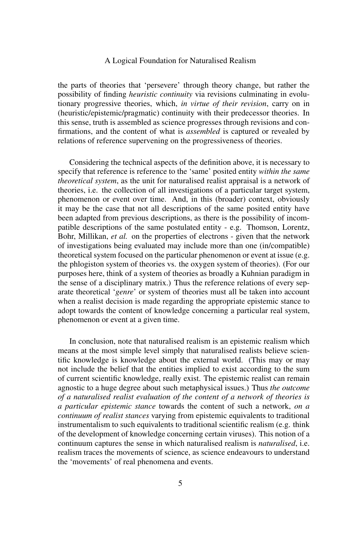the parts of theories that 'persevere' through theory change, but rather the possibility of finding *heuristic continuity* via revisions culminating in evolutionary progressive theories, which, *in virtue of their revision*, carry on in (heuristic/epistemic/pragmatic) continuity with their predecessor theories. In this sense, truth is assembled as science progresses through revisions and confirmations, and the content of what is *assembled* is captured or revealed by relations of reference supervening on the progressiveness of theories.

Considering the technical aspects of the definition above, it is necessary to specify that reference is reference to the 'same' posited entity *within the same theoretical system*, as the unit for naturalised realist appraisal is a network of theories, i.e. the collection of all investigations of a particular target system, phenomenon or event over time. And, in this (broader) context, obviously it may be the case that not all descriptions of the same posited entity have been adapted from previous descriptions, as there is the possibility of incompatible descriptions of the same postulated entity - e.g. Thomson, Lorentz, Bohr, Millikan, *et al.* on the properties of electrons - given that the network of investigations being evaluated may include more than one (in/compatible) theoretical system focused on the particular phenomenon or event at issue (e.g. the phlogiston system of theories vs. the oxygen system of theories). (For our purposes here, think of a system of theories as broadly a Kuhnian paradigm in the sense of a disciplinary matrix.) Thus the reference relations of every separate theoretical '*genre*' or system of theories must all be taken into account when a realist decision is made regarding the appropriate epistemic stance to adopt towards the content of knowledge concerning a particular real system, phenomenon or event at a given time.

In conclusion, note that naturalised realism is an epistemic realism which means at the most simple level simply that naturalised realists believe scientific knowledge is knowledge about the external world. (This may or may not include the belief that the entities implied to exist according to the sum of current scientific knowledge, really exist. The epistemic realist can remain agnostic to a huge degree about such metaphysical issues.) Thus *the outcome of a naturalised realist evaluation of the content of a network of theories is a particular epistemic stance* towards the content of such a network, *on a continuum of realist stances* varying from epistemic equivalents to traditional instrumentalism to such equivalents to traditional scientific realism (e.g. think of the development of knowledge concerning certain viruses). This notion of a continuum captures the sense in which naturalised realism is *naturalised*, i.e. realism traces the movements of science, as science endeavours to understand the 'movements' of real phenomena and events.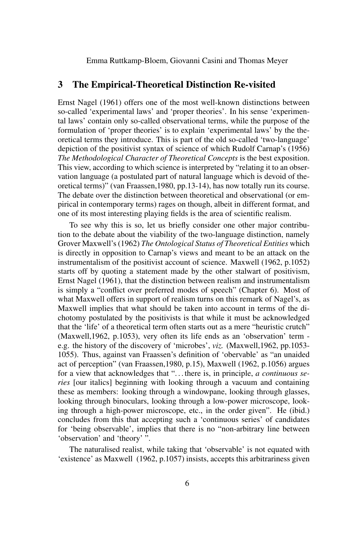## 3 The Empirical-Theoretical Distinction Re-visited

Ernst Nagel (1961) offers one of the most well-known distinctions between so-called 'experimental laws' and 'proper theories'. In his sense 'experimental laws' contain only so-called observational terms, while the purpose of the formulation of 'proper theories' is to explain 'experimental laws' by the theoretical terms they introduce. This is part of the old so-called 'two-language' depiction of the positivist syntax of science of which Rudolf Carnap's (1956) *The Methodological Character of Theoretical Concepts* is the best exposition. This view, according to which science is interpreted by "relating it to an observation language (a postulated part of natural language which is devoid of theoretical terms)" (van Fraassen,1980, pp.13-14), has now totally run its course. The debate over the distinction between theoretical and observational (or empirical in contemporary terms) rages on though, albeit in different format, and one of its most interesting playing fields is the area of scientific realism.

To see why this is so, let us briefly consider one other major contribution to the debate about the viability of the two-language distinction, namely Grover Maxwell's (1962) *The Ontological Status of Theoretical Entities* which is directly in opposition to Carnap's views and meant to be an attack on the instrumentalism of the positivist account of science. Maxwell (1962, p.1052) starts off by quoting a statement made by the other stalwart of positivism, Ernst Nagel (1961), that the distinction between realism and instrumentalism is simply a "conflict over preferred modes of speech" (Chapter 6). Most of what Maxwell offers in support of realism turns on this remark of Nagel's, as Maxwell implies that what should be taken into account in terms of the dichotomy postulated by the positivists is that while it must be acknowledged that the 'life' of a theoretical term often starts out as a mere "heuristic crutch" (Maxwell,1962, p.1053), very often its life ends as an 'observation' term e.g. the history of the discovery of 'microbes', *viz.* (Maxwell,1962, pp.1053- 1055). Thus, against van Fraassen's definition of 'obervable' as "an unaided act of perception" (van Fraassen,1980, p.15), Maxwell (1962, p.1056) argues for a view that acknowledges that ". . . there is, in principle, *a continuous series* [our italics] beginning with looking through a vacuum and containing these as members: looking through a windowpane, looking through glasses, looking through binoculars, looking through a low-power microscope, looking through a high-power microscope, etc., in the order given". He (ibid.) concludes from this that accepting such a 'continuous series' of candidates for 'being observable', implies that there is no "non-arbitrary line between 'observation' and 'theory' ".

The naturalised realist, while taking that 'observable' is not equated with 'existence' as Maxwell (1962, p.1057) insists, accepts this arbitrariness given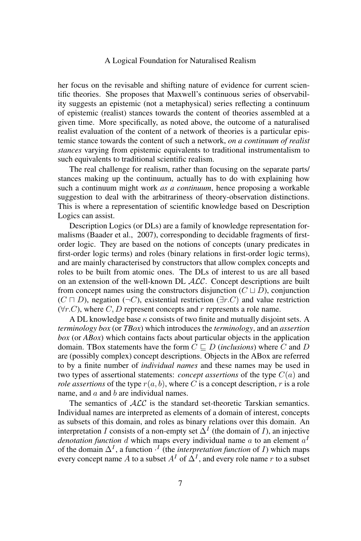her focus on the revisable and shifting nature of evidence for current scientific theories. She proposes that Maxwell's continuous series of observability suggests an epistemic (not a metaphysical) series reflecting a continuum of epistemic (realist) stances towards the content of theories assembled at a given time. More specifically, as noted above, the outcome of a naturalised realist evaluation of the content of a network of theories is a particular epistemic stance towards the content of such a network, *on a continuum of realist stances* varying from epistemic equivalents to traditional instrumentalism to such equivalents to traditional scientific realism.

The real challenge for realism, rather than focusing on the separate parts/ stances making up the continuum, actually has to do with explaining how such a continuum might work *as a continuum*, hence proposing a workable suggestion to deal with the arbitrariness of theory-observation distinctions. This is where a representation of scientific knowledge based on Description Logics can assist.

Description Logics (or DLs) are a family of knowledge representation formalisms (Baader et al., 2007), corresponding to decidable fragments of firstorder logic. They are based on the notions of concepts (unary predicates in first-order logic terms) and roles (binary relations in first-order logic terms), and are mainly characterised by constructors that allow complex concepts and roles to be built from atomic ones. The DLs of interest to us are all based on an extension of the well-known DL ALC. Concept descriptions are built from concept names using the constructors disjunction  $(C \sqcup D)$ , conjunction  $(C \sqcap D)$ , negation  $(\neg C)$ , existential restriction  $(\exists r.C)$  and value restriction  $(\forall r.C)$ , where C, D represent concepts and r represents a role name.

A DL knowledge base  $\kappa$  consists of two finite and mutually disjoint sets. A *terminology box* (or *TBox*) which introduces the *terminology*, and an *assertion box* (or *ABox*) which contains facts about particular objects in the application domain. TBox statements have the form  $C \sqsubset D$  (*inclusions*) where C and D are (possibly complex) concept descriptions. Objects in the ABox are referred to by a finite number of *individual names* and these names may be used in two types of assertional statements: *concept assertions* of the type C(a) and *role assertions* of the type  $r(a, b)$ , where C is a concept description, r is a role name, and  $a$  and  $b$  are individual names.

The semantics of  $ALC$  is the standard set-theoretic Tarskian semantics. Individual names are interpreted as elements of a domain of interest, concepts as subsets of this domain, and roles as binary relations over this domain. An interpretation I consists of a non-empty set  $\Delta^I$  (the domain of I), an injective *denotation function d* which maps every individual name  $a$  to an element  $a^1$ of the domain  $\Delta^I$ , a function  $\cdot^I$  (the *interpretation function* of *I*) which maps every concept name A to a subset  $A<sup>I</sup>$  of  $\Delta<sup>I</sup>$ , and every role name r to a subset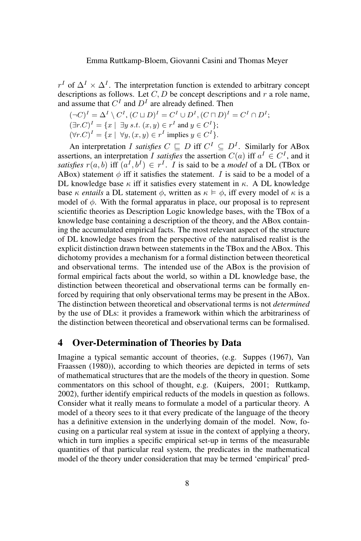$r<sup>I</sup>$  of  $\Delta<sup>I</sup> \times \Delta<sup>I</sup>$ . The interpretation function is extended to arbitrary concept descriptions as follows. Let  $C, D$  be concept descriptions and r a role name, and assume that  $C^{I}$  and  $D^{I}$  are already defined. Then

$$
(\neg C)^I = \Delta^I \setminus C^I, (C \sqcup D)^I = C^I \cup D^I, (C \sqcap D)^I = C^I \cap D^I;
$$
  
\n
$$
(\exists r.C)^I = \{x \mid \exists y \ s.t. \ (x,y) \in r^I \text{ and } y \in C^I\};
$$
  
\n
$$
(\forall r.C)^I = \{x \mid \forall y, (x,y) \in r^I \text{ implies } y \in C^I\}.
$$

An interpretation *I satisfies*  $C \subseteq D$  iff  $C^I \subseteq D^I$ . Similarly for ABox assertions, an interpretation I satisfies the assertion  $C(a)$  iff  $a^I \in C^I$ , and it *satisfies*  $r(a, b)$  iff  $(a^I, b^I) \in r^I$ . *I* is said to be a *model* of a DL (TBox or ABox) statement  $\phi$  iff it satisfies the statement. I is said to be a model of a DL knowledge base  $\kappa$  iff it satisfies every statement in  $\kappa$ . A DL knowledge base  $\kappa$  *entails* a DL statement  $\phi$ , written as  $\kappa \models \phi$ , iff every model of  $\kappa$  is a model of  $\phi$ . With the formal apparatus in place, our proposal is to represent scientific theories as Description Logic knowledge bases, with the TBox of a knowledge base containing a description of the theory, and the ABox containing the accumulated empirical facts. The most relevant aspect of the structure of DL knowledge bases from the perspective of the naturalised realist is the explicit distinction drawn between statements in the TBox and the ABox. This dichotomy provides a mechanism for a formal distinction between theoretical and observational terms. The intended use of the ABox is the provision of formal empirical facts about the world, so within a DL knowledge base, the distinction between theoretical and observational terms can be formally enforced by requiring that only observational terms may be present in the ABox. The distinction between theoretical and observational terms is not *determined* by the use of DLs: it provides a framework within which the arbitrariness of the distinction between theoretical and observational terms can be formalised.

## 4 Over-Determination of Theories by Data

Imagine a typical semantic account of theories, (e.g. Suppes (1967), Van Fraassen (1980)), according to which theories are depicted in terms of sets of mathematical structures that are the models of the theory in question. Some commentators on this school of thought, e.g. (Kuipers, 2001; Ruttkamp, 2002), further identify empirical reducts of the models in question as follows. Consider what it really means to formulate a model of a particular theory. A model of a theory sees to it that every predicate of the language of the theory has a definitive extension in the underlying domain of the model. Now, focusing on a particular real system at issue in the context of applying a theory, which in turn implies a specific empirical set-up in terms of the measurable quantities of that particular real system, the predicates in the mathematical model of the theory under consideration that may be termed 'empirical' pred-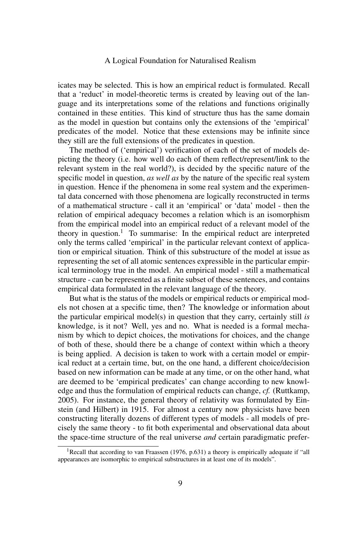icates may be selected. This is how an empirical reduct is formulated. Recall that a 'reduct' in model-theoretic terms is created by leaving out of the language and its interpretations some of the relations and functions originally contained in these entities. This kind of structure thus has the same domain as the model in question but contains only the extensions of the 'empirical' predicates of the model. Notice that these extensions may be infinite since they still are the full extensions of the predicates in question.

The method of ('empirical') verification of each of the set of models depicting the theory (i.e. how well do each of them reflect/represent/link to the relevant system in the real world?), is decided by the specific nature of the specific model in question, *as well as* by the nature of the specific real system in question. Hence if the phenomena in some real system and the experimental data concerned with those phenomena are logically reconstructed in terms of a mathematical structure - call it an 'empirical' or 'data' model - then the relation of empirical adequacy becomes a relation which is an isomorphism from the empirical model into an empirical reduct of a relevant model of the theory in question.<sup>1</sup> To summarise: In the empirical reduct are interpreted only the terms called 'empirical' in the particular relevant context of application or empirical situation. Think of this substructure of the model at issue as representing the set of all atomic sentences expressible in the particular empirical terminology true in the model. An empirical model - still a mathematical structure - can be represented as a finite subset of these sentences, and contains empirical data formulated in the relevant language of the theory.

But what is the status of the models or empirical reducts or empirical models not chosen at a specific time, then? The knowledge or information about the particular empirical model(s) in question that they carry, certainly still *is* knowledge, is it not? Well, yes and no. What is needed is a formal mechanism by which to depict choices, the motivations for choices, and the change of both of these, should there be a change of context within which a theory is being applied. A decision is taken to work with a certain model or empirical reduct at a certain time, but, on the one hand, a different choice/decision based on new information can be made at any time, or on the other hand, what are deemed to be 'empirical predicates' can change according to new knowledge and thus the formulation of empirical reducts can change, *cf.* (Ruttkamp, 2005). For instance, the general theory of relativity was formulated by Einstein (and Hilbert) in 1915. For almost a century now physicists have been constructing literally dozens of different types of models - all models of precisely the same theory - to fit both experimental and observational data about the space-time structure of the real universe *and* certain paradigmatic prefer-

<sup>&</sup>lt;sup>1</sup>Recall that according to van Fraassen (1976, p.631) a theory is empirically adequate if "all appearances are isomorphic to empirical substructures in at least one of its models".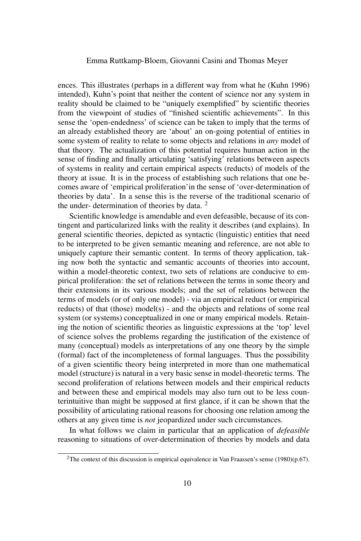ences. This illustrates (perhaps in a different way from what he (Kuhn 1996) intended), Kuhn's point that neither the content of science nor any system in reality should be claimed to be "uniquely exemplified" by scientific theories from the viewpoint of studies of "finished scientific achievements". In this sense the 'open-endedness' of science can be taken to imply that the terms of an already established theory are 'about' an on-going potential of entities in some system of reality to relate to some objects and relations in *any* model of that theory. The actualization of this potential requires human action in the sense of finding and finally articulating 'satisfying' relations between aspects of systems in reality and certain empirical aspects (reducts) of models of the theory at issue. It is in the process of establishing such relations that one becomes aware of 'empirical proliferation'in the sense of 'over-determination of theories by data'. In a sense this is the reverse of the traditional scenario of the under- determination of theories by data.  $2^2$ 

Scientific knowledge is amendable and even defeasible, because of its contingent and particularized links with the reality it describes (and explains). In general scientific theories, depicted as syntactic (linguistic) entities that need to be interpreted to be given semantic meaning and reference, are not able to uniquely capture their semantic content. In terms of theory application, taking now both the syntactic and semantic accounts of theories into account, within a model-theoretic context, two sets of relations are conducive to empirical proliferation: the set of relations between the terms in some theory and their extensions in its various models; and the set of relations between the terms of models (or of only one model) - via an empirical reduct (or empirical reducts) of that (those) model(s) - and the objects and relations of some real system (or systems) conceptualized in one or many empirical models. Retaining the notion of scientific theories as linguistic expressions at the 'top' level of science solves the problems regarding the justification of the existence of many (conceptual) models as interpretations of any one theory by the simple (formal) fact of the incompleteness of formal languages. Thus the possibility of a given scientific theory being interpreted in more than one mathematical model (structure) is natural in a very basic sense in model-theoretic terms. The second proliferation of relations between models and their empirical reducts and between these and empirical models may also turn out to be less counterintuitive than might be supposed at first glance, if it can be shown that the possibility of articulating rational reasons for choosing one relation among the others at any given time is *not* jeopardized under such circumstances.

In what follows we claim in particular that an application of *defeasible* reasoning to situations of over-determination of theories by models and data

<sup>&</sup>lt;sup>2</sup>The context of this discussion is empirical equivalence in Van Fraassen's sense (1980)(p.67).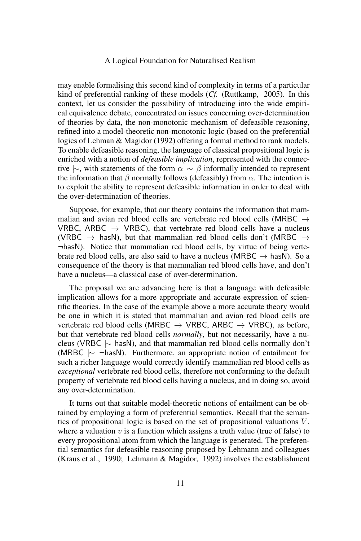may enable formalising this second kind of complexity in terms of a particular kind of preferential ranking of these models (*Cf.* (Ruttkamp, 2005). In this context, let us consider the possibility of introducing into the wide empirical equivalence debate, concentrated on issues concerning over-determination of theories by data, the non-monotonic mechanism of defeasible reasoning, refined into a model-theoretic non-monotonic logic (based on the preferential logics of Lehman & Magidor (1992) offering a formal method to rank models. To enable defeasible reasoning, the language of classical propositional logic is enriched with a notion of *defeasible implication*, represented with the connective  $\sim$ , with statements of the form  $\alpha \sim \beta$  informally intended to represent the information that  $\beta$  normally follows (defeasibly) from  $\alpha$ . The intention is to exploit the ability to represent defeasible information in order to deal with the over-determination of theories.

Suppose, for example, that our theory contains the information that mammalian and avian red blood cells are vertebrate red blood cells (MRBC → VRBC, ARBC  $\rightarrow$  VRBC), that vertebrate red blood cells have a nucleus (VRBC  $\rightarrow$  hasN), but that mammalian red blood cells don't (MRBC  $\rightarrow$  $\neg$ hasN). Notice that mammalian red blood cells, by virtue of being vertebrate red blood cells, are also said to have a nucleus (MRBC  $\rightarrow$  hasN). So a consequence of the theory is that mammalian red blood cells have, and don't have a nucleus—a classical case of over-determination.

The proposal we are advancing here is that a language with defeasible implication allows for a more appropriate and accurate expression of scientific theories. In the case of the example above a more accurate theory would be one in which it is stated that mammalian and avian red blood cells are vertebrate red blood cells (MRBC  $\rightarrow$  VRBC, ARBC  $\rightarrow$  VRBC), as before, but that vertebrate red blood cells *normally*, but not necessarily, have a nucleus (VRBC  $\sim$  hasN), and that mammalian red blood cells normally don't (MRBC |∼ ¬hasN). Furthermore, an appropriate notion of entailment for such a richer language would correctly identify mammalian red blood cells as *exceptional* vertebrate red blood cells, therefore not conforming to the default property of vertebrate red blood cells having a nucleus, and in doing so, avoid any over-determination.

It turns out that suitable model-theoretic notions of entailment can be obtained by employing a form of preferential semantics. Recall that the semantics of propositional logic is based on the set of propositional valuations  $V$ , where a valuation  $v$  is a function which assigns a truth value (true of false) to every propositional atom from which the language is generated. The preferential semantics for defeasible reasoning proposed by Lehmann and colleagues (Kraus et al., 1990; Lehmann & Magidor, 1992) involves the establishment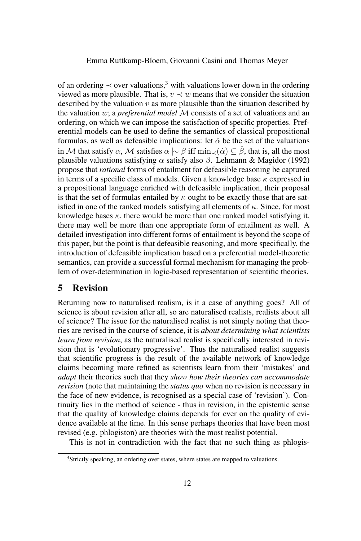of an ordering  $\prec$  over valuations,<sup>3</sup> with valuations lower down in the ordering viewed as more plausible. That is,  $v \prec w$  means that we consider the situation described by the valuation  $v$  as more plausible than the situation described by the valuation w; a *preferential model* M consists of a set of valuations and an ordering, on which we can impose the satisfaction of specific properties. Preferential models can be used to define the semantics of classical propositional formulas, as well as defeasible implications: let  $\hat{\alpha}$  be the set of the valuations in M that satisfy  $\alpha$ , M satisfies  $\alpha \sim \beta$  iff min $\Box(\hat{\alpha}) \subseteq \hat{\beta}$ , that is, all the most plausible valuations satisfying  $\alpha$  satisfy also  $\beta$ . Lehmann & Magidor (1992) propose that *rational* forms of entailment for defeasible reasoning be captured in terms of a specific class of models. Given a knowledge base  $\kappa$  expressed in a propositional language enriched with defeasible implication, their proposal is that the set of formulas entailed by  $\kappa$  ought to be exactly those that are satisfied in one of the ranked models satisfying all elements of  $\kappa$ . Since, for most knowledge bases  $\kappa$ , there would be more than one ranked model satisfying it, there may well be more than one appropriate form of entailment as well. A detailed investigation into different forms of entailment is beyond the scope of this paper, but the point is that defeasible reasoning, and more specifically, the introduction of defeasible implication based on a preferential model-theoretic semantics, can provide a successful formal mechanism for managing the problem of over-determination in logic-based representation of scientific theories.

# 5 Revision

Returning now to naturalised realism, is it a case of anything goes? All of science is about revision after all, so are naturalised realists, realists about all of science? The issue for the naturalised realist is not simply noting that theories are revised in the course of science, it is *about determining what scientists learn from revision*, as the naturalised realist is specifically interested in revision that is 'evolutionary progressive'. Thus the naturalised realist suggests that scientific progress is the result of the available network of knowledge claims becoming more refined as scientists learn from their 'mistakes' and *adapt* their theories such that they *show how their theories can accommodate revision* (note that maintaining the *status quo* when no revision is necessary in the face of new evidence, is recognised as a special case of 'revision'). Continuity lies in the method of science - thus in revision, in the epistemic sense that the quality of knowledge claims depends for ever on the quality of evidence available at the time. In this sense perhaps theories that have been most revised (e.g. phlogiston) are theories with the most realist potential.

This is not in contradiction with the fact that no such thing as phlogis-

<sup>&</sup>lt;sup>3</sup>Strictly speaking, an ordering over states, where states are mapped to valuations.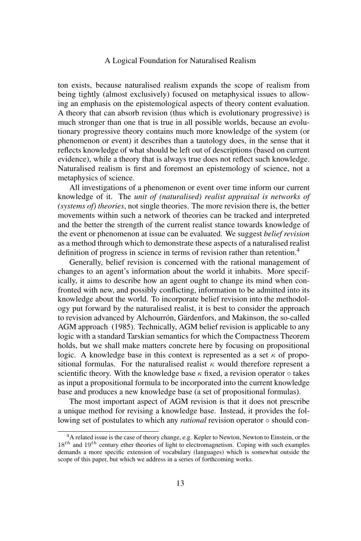ton exists, because naturalised realism expands the scope of realism from being tightly (almost exclusively) focused on metaphysical issues to allowing an emphasis on the epistemological aspects of theory content evaluation. A theory that can absorb revision (thus which is evolutionary progressive) is much stronger than one that is true in all possible worlds, because an evolutionary progressive theory contains much more knowledge of the system (or phenomenon or event) it describes than a tautology does, in the sense that it reflects knowledge of what should be left out of descriptions (based on current evidence), while a theory that is always true does not reflect such knowledge. Naturalised realism is first and foremost an epistemology of science, not a metaphysics of science.

All investigations of a phenomenon or event over time inform our current knowledge of it. The *unit of (naturalised) realist appraisal is networks of (systems of) theories*, not single theories. The more revision there is, the better movements within such a network of theories can be tracked and interpreted and the better the strength of the current realist stance towards knowledge of the event or phenomenon at issue can be evaluated. We suggest *belief revision* as a method through which to demonstrate these aspects of a naturalised realist definition of progress in science in terms of revision rather than retention.<sup>4</sup>

Generally, belief revision is concerned with the rational management of changes to an agent's information about the world it inhabits. More specifically, it aims to describe how an agent ought to change its mind when confronted with new, and possibly conflicting, information to be admitted into its knowledge about the world. To incorporate belief revision into the methodology put forward by the naturalised realist, it is best to consider the approach to revision advanced by Alchourrón, Gärdenfors, and Makinson, the so-called AGM approach (1985). Technically, AGM belief revision is applicable to any logic with a standard Tarskian semantics for which the Compactness Theorem holds, but we shall make matters concrete here by focusing on propositional logic. A knowledge base in this context is represented as a set  $\kappa$  of propositional formulas. For the naturalised realist  $\kappa$  would therefore represent a scientific theory. With the knowledge base  $\kappa$  fixed, a revision operator  $\circ$  takes as input a propositional formula to be incorporated into the current knowledge base and produces a new knowledge base (a set of propositional formulas).

The most important aspect of AGM revision is that it does not prescribe a unique method for revising a knowledge base. Instead, it provides the following set of postulates to which any *rational* revision operator ◦ should con-

<sup>4</sup>A related issue is the case of theory change, e.g. Kepler to Newton, Newton to Einstein, or the  $18^{th}$  and  $19^{th}$  century ether theories of light to electromagnetism. Coping with such examples demands a more specific extension of vocabulary (languages) which is somewhat outside the scope of this paper, but which we address in a series of forthcoming works.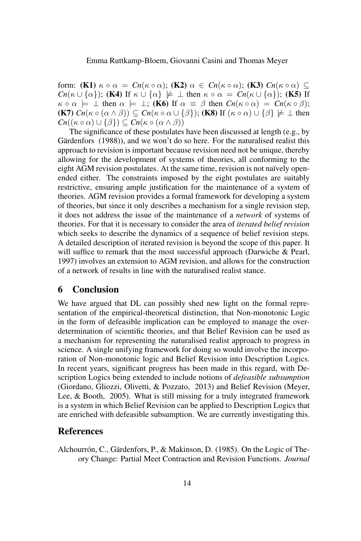form: **(K1)**  $\kappa \circ \alpha = Cn(\kappa \circ \alpha)$ ; **(K2)**  $\alpha \in Cn(\kappa \circ \alpha)$ ; **(K3)**  $Cn(\kappa \circ \alpha) \subseteq$ *Cn*( $\kappa \cup {\alpha}$ ); (K4) If  $\kappa \cup {\alpha} \neq \bot$  then  $\kappa \circ \alpha = Cn(\kappa \cup {\alpha})$ ; (K5) If  $\kappa \circ \alpha \models \bot$  then  $\alpha \models \bot$ ; (K6) If  $\alpha \equiv \beta$  then  $Cn(\kappa \circ \alpha) = Cn(\kappa \circ \beta)$ ;  $(K7)$   $Cn(\kappa \circ (\alpha \wedge \beta)) \subseteq Cn(\kappa \circ \alpha \cup {\{\beta\}});$   $(K8)$  If  $(\kappa \circ \alpha) \cup {\{\beta\}} \not\models \bot$  then  $Cn((\kappa \circ \alpha) \cup {\{\beta\}}) \subseteq Cn(\kappa \circ (\alpha \wedge \beta))$ 

The significance of these postulates have been discussed at length (e.g., by Gärdenfors (1988)), and we won't do so here. For the naturalised realist this approach to revision is important because revision need not be unique, thereby allowing for the development of systems of theories, all conforming to the eight AGM revision postulates. At the same time, revision is not naïvely openended either. The constraints imposed by the eight postulates are suitably restrictive, ensuring ample justification for the maintenance of a system of theories. AGM revision provides a formal framework for developing a system of theories, but since it only describes a mechanism for a single revision step, it does not address the issue of the maintenance of a *network* of systems of theories. For that it is necessary to consider the area of *iterated belief revision* which seeks to describe the dynamics of a sequence of belief revision steps. A detailed description of iterated revision is beyond the scope of this paper. It will suffice to remark that the most successful approach (Darwiche & Pearl, 1997) involves an extension to AGM revision, and allows for the construction of a network of results in line with the naturalised realist stance.

# 6 Conclusion

We have argued that DL can possibly shed new light on the formal representation of the empirical-theoretical distinction, that Non-monotonic Logic in the form of defeasible implication can be employed to manage the overdetermination of scientific theories, and that Belief Revision can be used as a mechanism for representing the naturalised realist approach to progress in science. A single unifying framework for doing so would involve the incorporation of Non-monotonic logic and Belief Revision into Description Logics. In recent years, significant progress has been made in this regard, with Description Logics being extended to include notions of *defeasible subsumption* (Giordano, Gliozzi, Olivetti, & Pozzato, 2013) and Belief Revision (Meyer, Lee, & Booth, 2005). What is still missing for a truly integrated framework is a system in which Belief Revision can be applied to Description Logics that are enriched with defeasible subsumption. We are currently investigating this.

# References

Alchourrón, C., Gärdenfors, P., & Makinson, D. (1985). On the Logic of Theory Change: Partial Meet Contraction and Revision Functions. *Journal*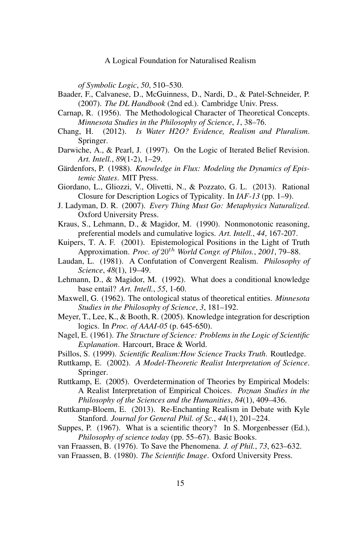*of Symbolic Logic*, *50*, 510–530.

- Baader, F., Calvanese, D., McGuinness, D., Nardi, D., & Patel-Schneider, P. (2007). *The DL Handbook* (2nd ed.). Cambridge Univ. Press.
- Carnap, R. (1956). The Methodological Character of Theoretical Concepts. *Minnesota Studies in the Philosophy of Science*, *1*, 38–76.
- Chang, H. (2012). *Is Water H2O? Evidence, Realism and Pluralism*. Springer.
- Darwiche, A., & Pearl, J. (1997). On the Logic of Iterated Belief Revision. *Art. Intell.*, *89*(1-2), 1–29.
- Gärdenfors, P. (1988). *Knowledge in Flux: Modeling the Dynamics of Epistemic States*. MIT Press.
- Giordano, L., Gliozzi, V., Olivetti, N., & Pozzato, G. L. (2013). Rational Closure for Description Logics of Typicality. In *IAF-13* (pp. 1–9).
- J. Ladyman, D. R. (2007). *Every Thing Must Go: Metaphysics Naturalized*. Oxford University Press.
- Kraus, S., Lehmann, D., & Magidor, M. (1990). Nonmonotonic reasoning, preferential models and cumulative logics. *Art. Intell.*, *44*, 167-207.
- Kuipers, T. A. F. (2001). Epistemological Positions in the Light of Truth Approximation. *Proc. of* 20th *World Congr. of Philos.*, *2001*, 79–88.
- Laudan, L. (1981). A Confutation of Convergent Realism. *Philosophy of Science*, *48*(1), 19–49.
- Lehmann, D., & Magidor, M. (1992). What does a conditional knowledge base entail? *Art. Intell.*, *55*, 1-60.
- Maxwell, G. (1962). The ontological status of theoretical entities. *Minnesota Studies in the Philosophy of Science*, *3*, 181–192.
- Meyer, T., Lee, K., & Booth, R. (2005). Knowledge integration for description logics. In *Proc. of AAAI-05* (p. 645-650).
- Nagel, E. (1961). *The Structure of Science: Problems in the Logic of Scientific Explanation*. Harcourt, Brace & World.
- Psillos, S. (1999). *Scientific Realism:How Science Tracks Truth*. Routledge.
- Ruttkamp, E. (2002). *A Model-Theoretic Realist Interpretation of Science*. Springer.
- Ruttkamp, E. (2005). Overdetermination of Theories by Empirical Models: A Realist Interpretation of Empirical Choices. *Poznan Studies in the Philosophy of the Sciences and the Humanities*, *84*(1), 409–436.
- Ruttkamp-Bloem, E. (2013). Re-Enchanting Realism in Debate with Kyle Stanford. *Journal for General Phil. of Sc.*, *44*(1), 201–224.
- Suppes, P. (1967). What is a scientific theory? In S. Morgenbesser (Ed.), *Philosophy of science today* (pp. 55–67). Basic Books.
- van Fraassen, B. (1976). To Save the Phenomena. *J. of Phil.*, *73*, 623–632.
- van Fraassen, B. (1980). *The Scientific Image*. Oxford University Press.